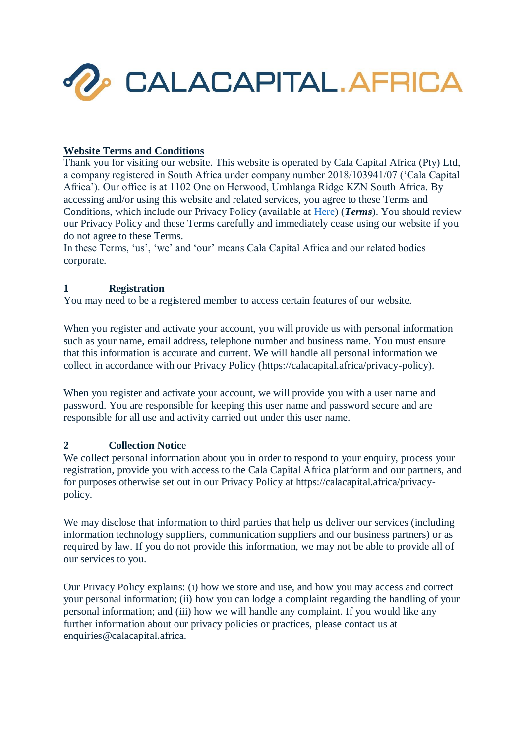

### **Website Terms and Conditions**

Thank you for visiting our website. This website is operated by Cala Capital Africa (Pty) Ltd, a company registered in South Africa under company number 2018/103941/07 ('Cala Capital Africa'). Our office is at 1102 One on Herwood, Umhlanga Ridge KZN South Africa. By accessing and/or using this website and related services, you agree to these Terms and Conditions, which include our Privacy Policy (available at [Here\)](https://calacapital.africa/wp-content/uploads/2021/10/CALA-CAPITAL-AFRICA-PRIVACY-POLICY.pdf) (*Terms*). You should review our Privacy Policy and these Terms carefully and immediately cease using our website if you do not agree to these Terms.

In these Terms, 'us', 'we' and 'our' means Cala Capital Africa and our related bodies corporate.

## **1 Registration**

You may need to be a registered member to access certain features of our website.

When you register and activate your account, you will provide us with personal information such as your name, email address, telephone number and business name. You must ensure that this information is accurate and current. We will handle all personal information we collect in accordance with our Privacy Policy (https://calacapital.africa/privacy-policy).

When you register and activate your account, we will provide you with a user name and password. You are responsible for keeping this user name and password secure and are responsible for all use and activity carried out under this user name.

## **2 Collection Notic**e

We collect personal information about you in order to respond to your enquiry, process your registration, provide you with access to the Cala Capital Africa platform and our partners, and for purposes otherwise set out in our Privacy Policy at https://calacapital.africa/privacypolicy.

We may disclose that information to third parties that help us deliver our services (including information technology suppliers, communication suppliers and our business partners) or as required by law. If you do not provide this information, we may not be able to provide all of our services to you.

Our Privacy Policy explains: (i) how we store and use, and how you may access and correct your personal information; (ii) how you can lodge a complaint regarding the handling of your personal information; and (iii) how we will handle any complaint. If you would like any further information about our privacy policies or practices, please contact us at enquiries@calacapital.africa.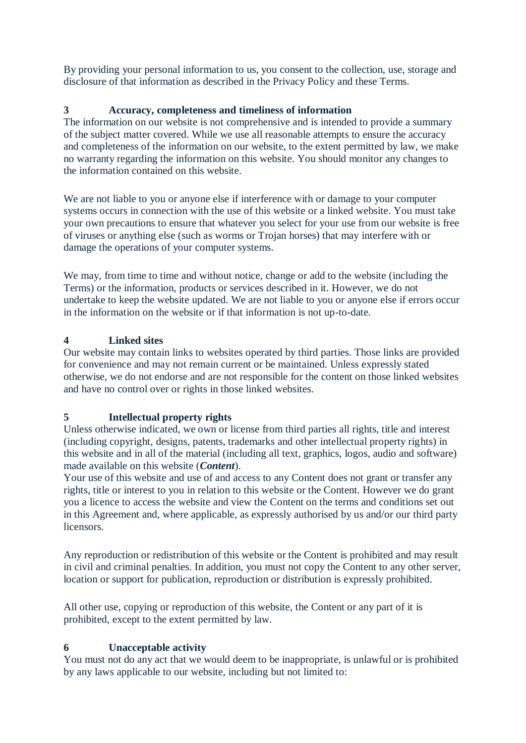By providing your personal information to us, you consent to the collection, use, storage and disclosure of that information as described in the Privacy Policy and these Terms.

# **3 Accuracy, completeness and timeliness of information**

The information on our website is not comprehensive and is intended to provide a summary of the subject matter covered. While we use all reasonable attempts to ensure the accuracy and completeness of the information on our website, to the extent permitted by law, we make no warranty regarding the information on this website. You should monitor any changes to the information contained on this website.

We are not liable to you or anyone else if interference with or damage to your computer systems occurs in connection with the use of this website or a linked website. You must take your own precautions to ensure that whatever you select for your use from our website is free of viruses or anything else (such as worms or Trojan horses) that may interfere with or damage the operations of your computer systems.

We may, from time to time and without notice, change or add to the website (including the Terms) or the information, products or services described in it. However, we do not undertake to keep the website updated. We are not liable to you or anyone else if errors occur in the information on the website or if that information is not up-to-date.

# **4 Linked sites**

Our website may contain links to websites operated by third parties. Those links are provided for convenience and may not remain current or be maintained. Unless expressly stated otherwise, we do not endorse and are not responsible for the content on those linked websites and have no control over or rights in those linked websites.

## **5 Intellectual property rights**

Unless otherwise indicated, we own or license from third parties all rights, title and interest (including copyright, designs, patents, trademarks and other intellectual property rights) in this website and in all of the material (including all text, graphics, logos, audio and software) made available on this website (*Content*).

Your use of this website and use of and access to any Content does not grant or transfer any rights, title or interest to you in relation to this website or the Content. However we do grant you a licence to access the website and view the Content on the terms and conditions set out in this Agreement and, where applicable, as expressly authorised by us and/or our third party licensors.

Any reproduction or redistribution of this website or the Content is prohibited and may result in civil and criminal penalties. In addition, you must not copy the Content to any other server, location or support for publication, reproduction or distribution is expressly prohibited.

All other use, copying or reproduction of this website, the Content or any part of it is prohibited, except to the extent permitted by law.

# **6 Unacceptable activity**

You must not do any act that we would deem to be inappropriate, is unlawful or is prohibited by any laws applicable to our website, including but not limited to: